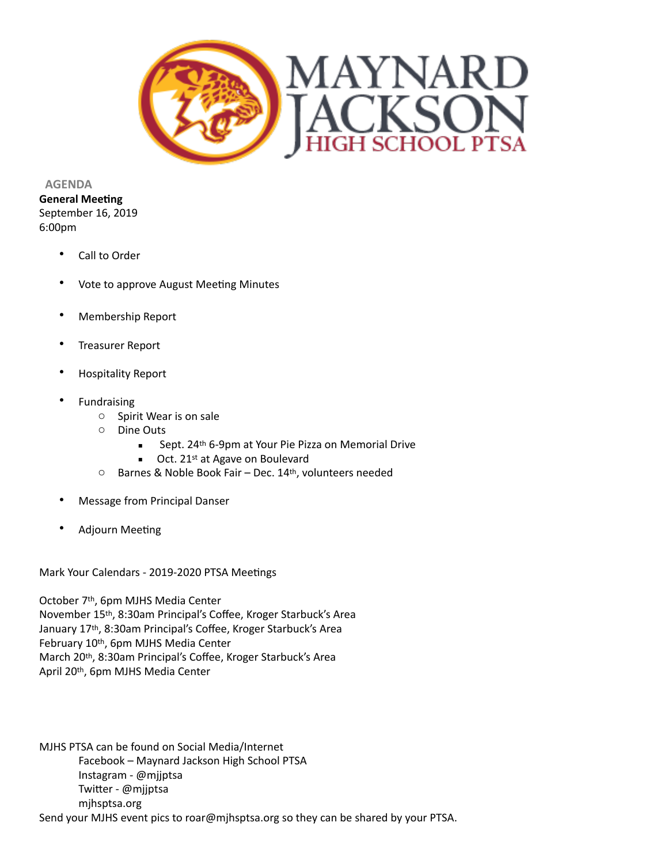

 **AGENDA General Meeting** September 16, 2019 6:00pm 

- Call to Order
- Vote to approve August Meeting Minutes
- Membership Report
- Treasurer Report
- Hospitality Report
- **Fundraising** 
	- $\circ$  Spirit Wear is on sale
	- o Dine Outs
		- Sept. 24<sup>th</sup> 6-9pm at Your Pie Pizza on Memorial Drive
		- $\blacksquare$  Oct. 21<sup>st</sup> at Agave on Boulevard
	- $\circ$  Barnes & Noble Book Fair Dec. 14<sup>th</sup>, volunteers needed
- Message from Principal Danser
- Adjourn Meeting

Mark Your Calendars - 2019-2020 PTSA Meetings

October 7<sup>th</sup>, 6pm MJHS Media Center November 15<sup>th</sup>, 8:30am Principal's Coffee, Kroger Starbuck's Area January 17<sup>th</sup>, 8:30am Principal's Coffee, Kroger Starbuck's Area February 10th, 6pm MJHS Media Center March 20th, 8:30am Principal's Coffee, Kroger Starbuck's Area April 20<sup>th</sup>, 6pm MJHS Media Center

MJHS PTSA can be found on Social Media/Internet Facebook - Maynard Jackson High School PTSA Instagram - @mjjptsa Twitter - @mjjptsa mjhsptsa.org Send your MJHS event pics to roar@mjhsptsa.org so they can be shared by your PTSA.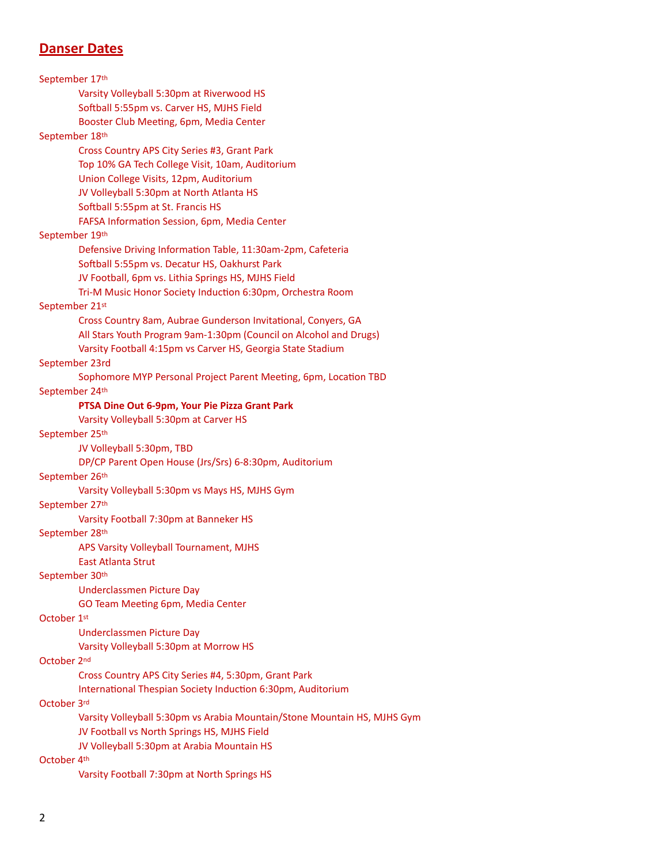## **Danser Dates**

September 17th Varsity Volleyball 5:30pm at Riverwood HS Softball 5:55pm vs. Carver HS, MJHS Field Booster Club Meeting, 6pm, Media Center September 18th Cross Country APS City Series #3, Grant Park Top 10% GA Tech College Visit, 10am, Auditorium Union College Visits, 12pm, Auditorium JV Volleyball 5:30pm at North Atlanta HS Softball 5:55pm at St. Francis HS FAFSA Information Session, 6pm, Media Center September 19th Defensive Driving Information Table, 11:30am-2pm, Cafeteria Softball 5:55pm vs. Decatur HS, Oakhurst Park JV Football, 6pm vs. Lithia Springs HS, MJHS Field Tri-M Music Honor Society Induction 6:30pm, Orchestra Room September 21st Cross Country 8am, Aubrae Gunderson Invitational, Conyers, GA All Stars Youth Program 9am-1:30pm (Council on Alcohol and Drugs) Varsity Football 4:15pm vs Carver HS, Georgia State Stadium September 23rd Sophomore MYP Personal Project Parent Meeting, 6pm, Location TBD September 24th **PTSA Dine Out 6-9pm, Your Pie Pizza Grant Park** Varsity Volleyball 5:30pm at Carver HS September 25th JV Volleyball 5:30pm, TBD DP/CP Parent Open House (Jrs/Srs) 6-8:30pm, Auditorium September 26th Varsity Volleyball 5:30pm vs Mays HS, MJHS Gym September 27th Varsity Football 7:30pm at Banneker HS September 28th APS Varsity Volleyball Tournament, MJHS East Atlanta Strut September 30th Underclassmen Picture Day GO Team Meeting 6pm, Media Center October 1st Underclassmen Picture Day Varsity Volleyball 5:30pm at Morrow HS October 2<sup>nd</sup> Cross Country APS City Series #4, 5:30pm, Grant Park International Thespian Society Induction 6:30pm, Auditorium October 3rd Varsity Volleyball 5:30pm vs Arabia Mountain/Stone Mountain HS, MJHS Gym JV Football vs North Springs HS, MJHS Field JV Volleyball 5:30pm at Arabia Mountain HS October 4<sup>th</sup> Varsity Football 7:30pm at North Springs HS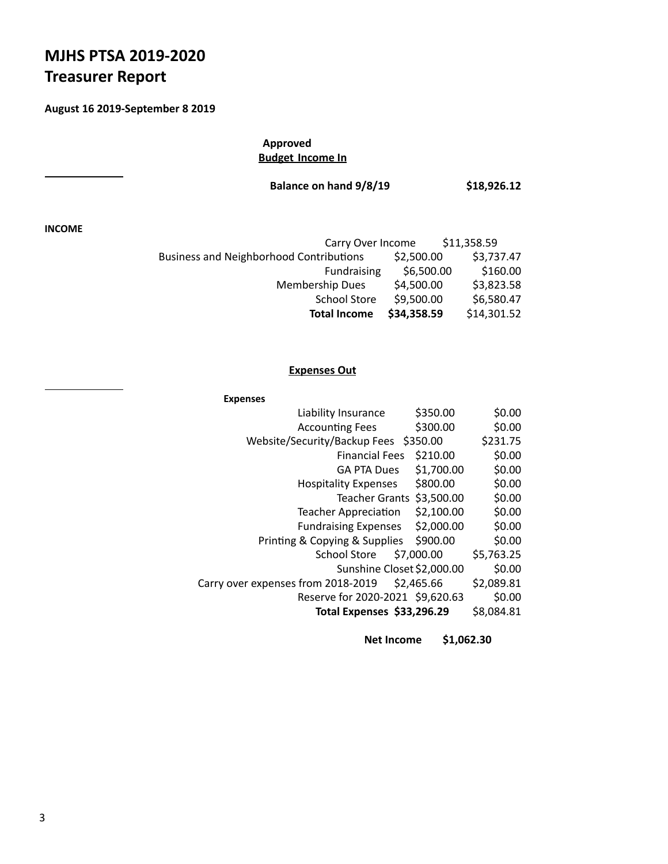# **MJHS PTSA 2019-2020 Treasurer Report**

### **August 16 2019-September 8 2019**

**Approved Budget Income In** 

**Balance on hand 9/8/19** \$18,926.12

**INCOME** 

| Carry Over Income                              |             | \$11,358.59 |
|------------------------------------------------|-------------|-------------|
| <b>Business and Neighborhood Contributions</b> | \$2,500.00  | \$3,737.47  |
| Fundraising                                    | \$6,500.00  | \$160.00    |
| <b>Membership Dues</b>                         | \$4,500.00  | \$3,823.58  |
| <b>School Store</b>                            | \$9,500.00  | \$6,580.47  |
| <b>Total Income</b>                            | \$34,358.59 | \$14,301.52 |

#### **Expenses Out**

**Expenses** 

| Liability Insurance                              | \$350.00<br>\$0.00   |
|--------------------------------------------------|----------------------|
| <b>Accounting Fees</b>                           | \$300.00<br>\$0.00   |
| Website/Security/Backup Fees \$350.00            | \$231.75             |
| <b>Financial Fees</b>                            | \$210.00<br>\$0.00   |
| <b>GA PTA Dues</b>                               | \$1,700.00<br>\$0.00 |
| <b>Hospitality Expenses</b>                      | \$0.00<br>\$800.00   |
| <b>Teacher Grants</b>                            | \$3,500.00<br>\$0.00 |
| <b>Teacher Appreciation</b>                      | \$2,100.00<br>\$0.00 |
| <b>Fundraising Expenses</b>                      | \$2,000.00<br>\$0.00 |
| Printing & Copying & Supplies                    | \$900.00<br>\$0.00   |
| <b>School Store</b><br>\$7,000.00                | \$5,763.25           |
| Sunshine Closet \$2,000.00                       | \$0.00               |
| Carry over expenses from 2018-2019<br>\$2,465.66 | \$2,089.81           |
| Reserve for 2020-2021 \$9,620.63                 | \$0.00               |
| Total Expenses \$33,296.29                       | \$8,084.81           |
|                                                  |                      |

**Net Income \$1,062.30**